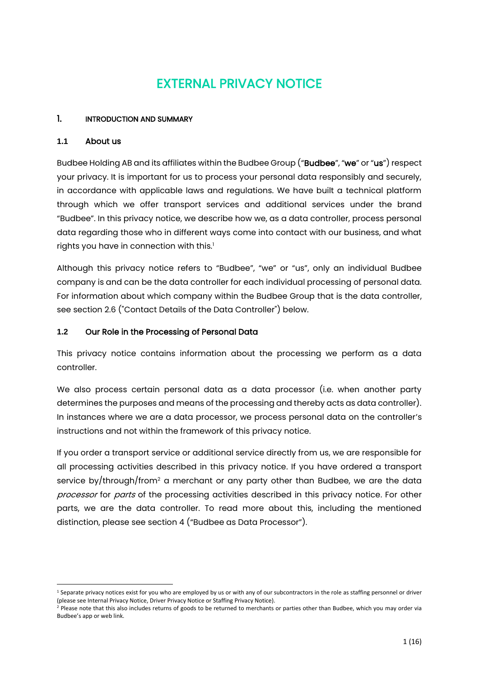# EXTERNAL PRIVACY NOTICE

## 1. INTRODUCTION AND SUMMARY

#### **1.1** About us

Budbee Holding AB and its affiliates within the Budbee Group ("Budbee", "we" or "us") respect your privacy. It is important for us to process your personal data responsibly and securely, in accordance with applicable laws and regulations. We have built a technical platform through which we offer transport services and additional services under the brand "Budbee". In this privacy notice, we describe how we, as a data controller, process personal data regarding those who in different ways come into contact with our business, and what rights you have in connection with this.<sup>1</sup>

Although this privacy notice refers to "Budbee", "we" or "us", only an individual Budbee company is and can be the data controller for each individual processing of personal data. For information about which company within the Budbee Group that is the data controller, see section 2.6 ("Contact Details of the Data Controller") below.

#### **1.2** Our Role in the Processing of Personal Data

This privacy notice contains information about the processing we perform as a data controller.

We also process certain personal data as a data processor (i.e. when another party determines the purposes and means of the processing and thereby acts as data controller). In instances where we are a data processor, we process personal data on the controller's instructions and not within the framework of this privacy notice.

If you order a transport service or additional service directly from us, we are responsible for all processing activities described in this privacy notice. If you have ordered a transport service by/through/from<sup>2</sup> a merchant or any party other than Budbee, we are the data processor for parts of the processing activities described in this privacy notice. For other parts, we are the data controller. To read more about this, including the mentioned distinction, please see section 4 ("Budbee as Data Processor").

<sup>&</sup>lt;sup>1</sup> Separate privacy notices exist for you who are employed by us or with any of our subcontractors in the role as staffing personnel or driver (please see Internal Privacy Notice, Driver Privacy Notice or Staffing Privacy Notice).

<sup>&</sup>lt;sup>2</sup> Please note that this also includes returns of goods to be returned to merchants or parties other than Budbee, which you may order via Budbee's app or web link.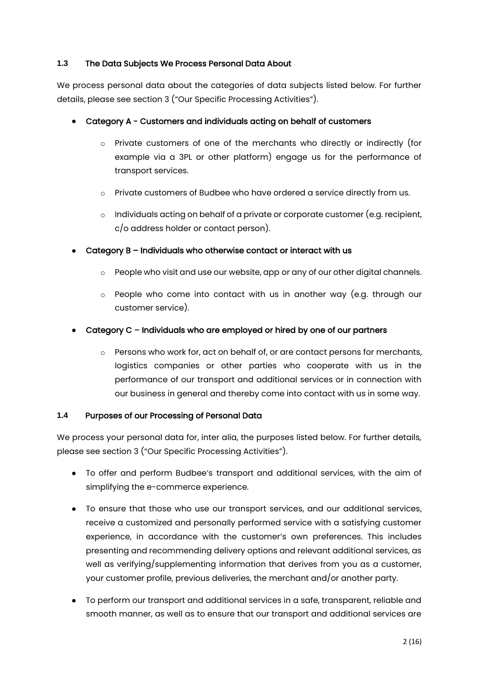## **1.3** The Data Subjects We Process Personal Data About

We process personal data about the categories of data subjects listed below. For further details, please see section 3 ("Our Specific Processing Activities").

# ● Category A - Customers and individuals acting on behalf of customers

- o Private customers of one of the merchants who directly or indirectly (for example via a 3PL or other platform) engage us for the performance of transport services.
- o Private customers of Budbee who have ordered a service directly from us.
- $\circ$  Individuals acting on behalf of a private or corporate customer (e.g. recipient, c/o address holder or contact person).
- $\bullet$  Category B Individuals who otherwise contact or interact with us
	- o People who visit and use our website, app or any of our other digital channels.
	- o People who come into contact with us in another way (e.g. through our customer service).

## Category C – Individuals who are employed or hired by one of our partners

 $\circ$  Persons who work for, act on behalf of, or are contact persons for merchants, logistics companies or other parties who cooperate with us in the performance of our transport and additional services or in connection with our business in general and thereby come into contact with us in some way.

## **1.4** Purposes of our Processing of Personal Data

We process your personal data for, inter alia, the purposes listed below. For further details, please see section 3 ("Our Specific Processing Activities").

- To offer and perform Budbee's transport and additional services, with the aim of simplifying the e-commerce experience.
- To ensure that those who use our transport services, and our additional services, receive a customized and personally performed service with a satisfying customer experience, in accordance with the customer's own preferences. This includes presenting and recommending delivery options and relevant additional services, as well as verifying/supplementing information that derives from you as a customer, your customer profile, previous deliveries, the merchant and/or another party.
- To perform our transport and additional services in a safe, transparent, reliable and smooth manner, as well as to ensure that our transport and additional services are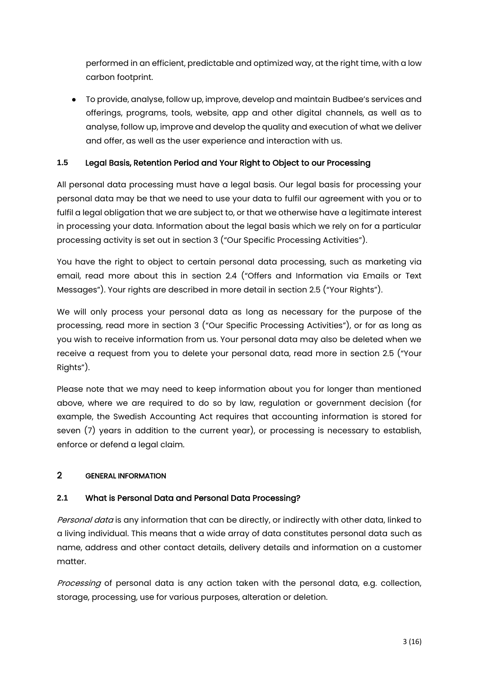performed in an efficient, predictable and optimized way, at the right time, with a low carbon footprint.

● To provide, analyse, follow up, improve, develop and maintain Budbee's services and offerings, programs, tools, website, app and other digital channels, as well as to analyse, follow up, improve and develop the quality and execution of what we deliver and offer, as well as the user experience and interaction with us.

# **1.5** Legal Basis, Retention Period and Your Right to Object to our Processing

All personal data processing must have a legal basis. Our legal basis for processing your personal data may be that we need to use your data to fulfil our agreement with you or to fulfil a legal obligation that we are subject to, or that we otherwise have a legitimate interest in processing your data. Information about the legal basis which we rely on for a particular processing activity is set out in section 3 ("Our Specific Processing Activities").

You have the right to object to certain personal data processing, such as marketing via email, read more about this in section 2.4 ("Offers and Information via Emails or Text Messages"). Your rights are described in more detail in section 2.5 ("Your Rights").

We will only process your personal data as long as necessary for the purpose of the processing, read more in section 3 ("Our Specific Processing Activities"), or for as long as you wish to receive information from us. Your personal data may also be deleted when we receive a request from you to delete your personal data, read more in section 2.5 ("Your Rights").

Please note that we may need to keep information about you for longer than mentioned above, where we are required to do so by law, regulation or government decision (for example, the Swedish Accounting Act requires that accounting information is stored for seven (7) years in addition to the current year), or processing is necessary to establish, enforce or defend a legal claim.

# 2 GENERAL INFORMATION

# **2.1** What is Personal Data and Personal Data Processing?

Personal data is any information that can be directly, or indirectly with other data, linked to a living individual. This means that a wide array of data constitutes personal data such as name, address and other contact details, delivery details and information on a customer matter.

Processing of personal data is any action taken with the personal data, e.g. collection, storage, processing, use for various purposes, alteration or deletion.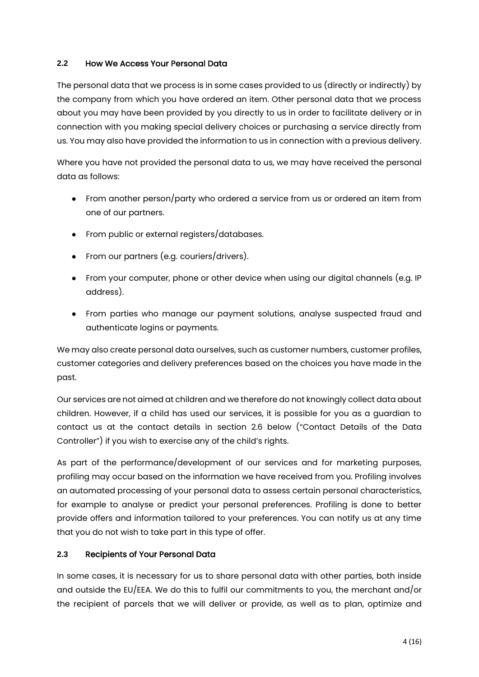## **2.2** How We Access Your Personal Data

The personal data that we process is in some cases provided to us (directly or indirectly) by the company from which you have ordered an item. Other personal data that we process about you may have been provided by you directly to us in order to facilitate delivery or in connection with you making special delivery choices or purchasing a service directly from us. You may also have provided the information to us in connection with a previous delivery.

Where you have not provided the personal data to us, we may have received the personal data as follows:

- From another person/party who ordered a service from us or ordered an item from one of our partners.
- From public or external registers/databases.
- From our partners (e.g. couriers/drivers).
- From your computer, phone or other device when using our digital channels (e.g. IP address).
- From parties who manage our payment solutions, analyse suspected fraud and authenticate logins or payments.

We may also create personal data ourselves, such as customer numbers, customer profiles, customer categories and delivery preferences based on the choices you have made in the past.

Our services are not aimed at children and we therefore do not knowingly collect data about children. However, if a child has used our services, it is possible for you as a guardian to contact us at the contact details in section 2.6 below ("Contact Details of the Data Controller") if you wish to exercise any of the child's rights.

As part of the performance/development of our services and for marketing purposes, profiling may occur based on the information we have received from you. Profiling involves an automated processing of your personal data to assess certain personal characteristics, for example to analyse or predict your personal preferences. Profiling is done to better provide offers and information tailored to your preferences. You can notify us at any time that you do not wish to take part in this type of offer.

# **2.3** Recipients of Your Personal Data

In some cases, it is necessary for us to share personal data with other parties, both inside and outside the EU/EEA. We do this to fulfil our commitments to you, the merchant and/or the recipient of parcels that we will deliver or provide, as well as to plan, optimize and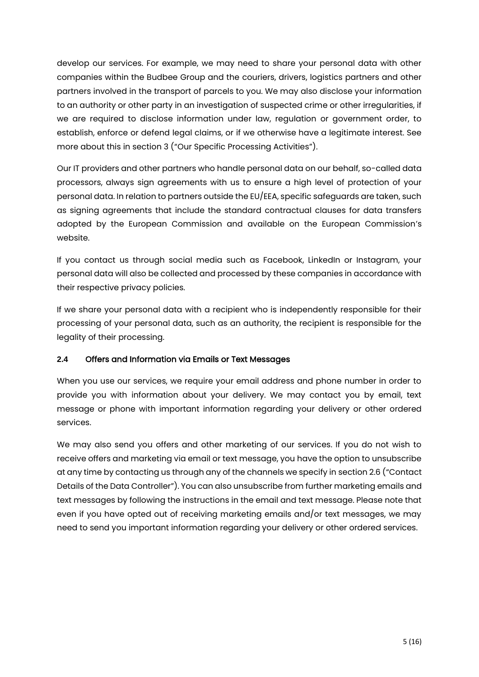develop our services. For example, we may need to share your personal data with other companies within the Budbee Group and the couriers, drivers, logistics partners and other partners involved in the transport of parcels to you. We may also disclose your information to an authority or other party in an investigation of suspected crime or other irregularities, if we are required to disclose information under law, regulation or government order, to establish, enforce or defend legal claims, or if we otherwise have a legitimate interest. See more about this in section 3 ("Our Specific Processing Activities").

Our IT providers and other partners who handle personal data on our behalf, so-called data processors, always sign agreements with us to ensure a high level of protection of your personal data. In relation to partners outside the EU/EEA, specific safeguards are taken, such as signing agreements that include the standard contractual clauses for data transfers adopted by the European Commission and available on the European Commission's website.

If you contact us through social media such as Facebook, LinkedIn or Instagram, your personal data will also be collected and processed by these companies in accordance with their respective privacy policies.

If we share your personal data with a recipient who is independently responsible for their processing of your personal data, such as an authority, the recipient is responsible for the legality of their processing.

# **2.4** Offers and Information via Emails or Text Messages

When you use our services, we require your email address and phone number in order to provide you with information about your delivery. We may contact you by email, text message or phone with important information regarding your delivery or other ordered services.

We may also send you offers and other marketing of our services. If you do not wish to receive offers and marketing via email or text message, you have the option to unsubscribe at any time by contacting us through any of the channels we specify in section 2.6 ("Contact Details of the Data Controller"). You can also unsubscribe from further marketing emails and text messages by following the instructions in the email and text message. Please note that even if you have opted out of receiving marketing emails and/or text messages, we may need to send you important information regarding your delivery or other ordered services.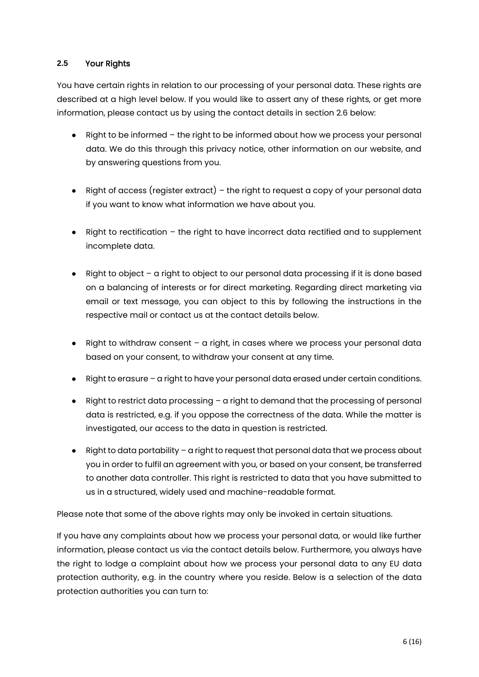# **2.5** Your Rights

You have certain rights in relation to our processing of your personal data. These rights are described at a high level below. If you would like to assert any of these rights, or get more information, please contact us by using the contact details in section 2.6 below:

- Right to be informed the right to be informed about how we process your personal data. We do this through this privacy notice, other information on our website, and by answering questions from you.
- $\bullet$  Right of access (register extract) the right to request a copy of your personal data if you want to know what information we have about you.
- Right to rectification the right to have incorrect data rectified and to supplement incomplete data.
- Right to object a right to object to our personal data processing if it is done based on a balancing of interests or for direct marketing. Regarding direct marketing via email or text message, you can object to this by following the instructions in the respective mail or contact us at the contact details below.
- Right to withdraw consent a right, in cases where we process your personal data based on your consent, to withdraw your consent at any time.
- Right to erasure a right to have your personal data erased under certain conditions.
- $\bullet$  Right to restrict data processing  $-$  a right to demand that the processing of personal data is restricted, e.g. if you oppose the correctness of the data. While the matter is investigated, our access to the data in question is restricted.
- Right to data portability a right to request that personal data that we process about you in order to fulfil an agreement with you, or based on your consent, be transferred to another data controller. This right is restricted to data that you have submitted to us in a structured, widely used and machine-readable format.

Please note that some of the above rights may only be invoked in certain situations.

If you have any complaints about how we process your personal data, or would like further information, please contact us via the contact details below. Furthermore, you always have the right to lodge a complaint about how we process your personal data to any EU data protection authority, e.g. in the country where you reside. Below is a selection of the data protection authorities you can turn to: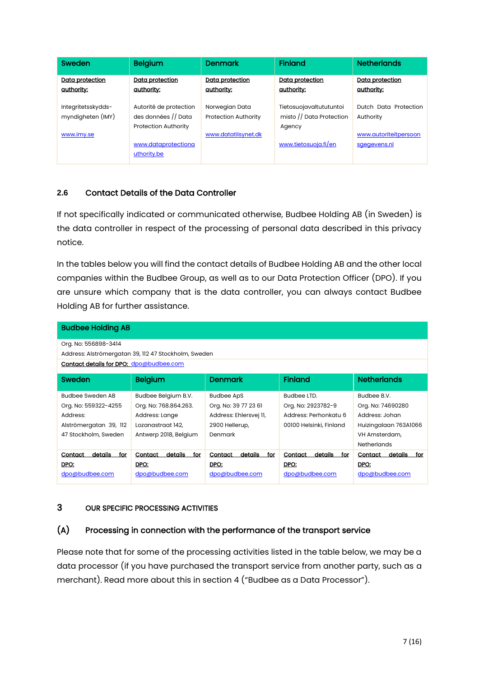| Sweden                                  | Belgium                                                                      | <b>Denmark</b>                                | <b>Finland</b>                                                | <b>Netherlands</b>                    |
|-----------------------------------------|------------------------------------------------------------------------------|-----------------------------------------------|---------------------------------------------------------------|---------------------------------------|
| Data protection<br>authority:           | Data protection<br>authority:                                                | Data protection<br>authority:                 | Data protection<br><u>authority:</u>                          | Data protection<br><u>authority:</u>  |
| Integritetsskydds-<br>myndigheten (IMY) | Autorité de protection<br>des données // Data<br><b>Protection Authority</b> | Norwegian Data<br><b>Protection Authority</b> | Tietosuojavaltututuntoi<br>misto // Data Protection<br>Agency | Dutch Data Protection<br>Authority    |
| www.imy.se                              | www.dataprotectiona<br>uthority.be                                           | www.datatilsynet.dk                           | www.tietosuoja.fi/en                                          | www.autoriteitpersoon<br>sgegevens.nl |

# **2.6** Contact Details of the Data Controller

If not specifically indicated or communicated otherwise, Budbee Holding AB (in Sweden) is the data controller in respect of the processing of personal data described in this privacy notice.

In the tables below you will find the contact details of Budbee Holding AB and the other local companies within the Budbee Group, as well as to our Data Protection Officer (DPO). If you are unsure which company that is the data controller, you can always contact Budbee Holding AB for further assistance.

| <b>Budbee Holding AB</b>                             |                           |                           |                           |                           |  |  |  |
|------------------------------------------------------|---------------------------|---------------------------|---------------------------|---------------------------|--|--|--|
| Org. No: 556898-3414                                 |                           |                           |                           |                           |  |  |  |
| Address: Alströmergatan 39, 112 47 Stockholm, Sweden |                           |                           |                           |                           |  |  |  |
| <b>Contact details for DPO: dpo@budbee.com</b>       |                           |                           |                           |                           |  |  |  |
| Sweden                                               | <b>Belgium</b>            | <b>Denmark</b>            | <b>Finland</b>            | <b>Netherlands</b>        |  |  |  |
| <b>Budbee Sweden AB</b>                              | Budbee Belgium B.V.       | <b>Budbee ApS</b>         | Budbee LTD.               | Budbee B.V.               |  |  |  |
| Org. No: 559322-4255                                 | Org. No: 768.864.263.     | Org. No: 39 77 23 61      | Org. No: 2923782-9        | Org. No: 74690280         |  |  |  |
| Address:                                             | Address: Lange            | Address: Ehlersvej 11,    | Address: Perhonkatu 6     | Address: Johan            |  |  |  |
| Alströmergatan 39, 112                               | Lozanastraat 142.         | 2900 Hellerup,            | 00100 Helsinki, Finland   | Huizingalaan 763A1066     |  |  |  |
| 47 Stockholm, Sweden                                 | Antwerp 2018, Belgium     | Denmark                   |                           | VH Amsterdam,             |  |  |  |
|                                                      |                           |                           |                           | <b>Netherlands</b>        |  |  |  |
| details<br>Contact<br>for                            | details<br>Contact<br>for | details<br>Contact<br>for | details<br>Contact<br>for | details<br>for<br>Contact |  |  |  |
| DPO:                                                 | DPO:                      | DPO:                      | DPO:                      | DPO:                      |  |  |  |
| dpo@budbee.com                                       | dpo@budbee.com            | dpo@budbee.com            | dpo@budbee.com            | dpo@budbee.com            |  |  |  |

## 3 OUR SPECIFIC PROCESSING ACTIVITIES

## (A) Processing in connection with the performance of the transport service

Please note that for some of the processing activities listed in the table below, we may be a data processor (if you have purchased the transport service from another party, such as a merchant). Read more about this in section 4 ("Budbee as a Data Processor").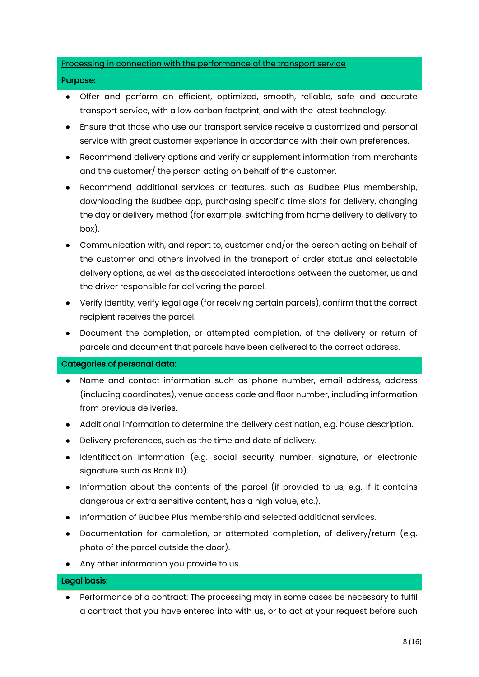## Processing in connection with the performance of the transport service

#### Purpose:

- Offer and perform an efficient, optimized, smooth, reliable, safe and accurate transport service, with a low carbon footprint, and with the latest technology.
- Ensure that those who use our transport service receive a customized and personal service with great customer experience in accordance with their own preferences.
- Recommend delivery options and verify or supplement information from merchants and the customer/ the person acting on behalf of the customer.
- Recommend additional services or features, such as Budbee Plus membership, downloading the Budbee app, purchasing specific time slots for delivery, changing the day or delivery method (for example, switching from home delivery to delivery to box).
- Communication with, and report to, customer and/or the person acting on behalf of the customer and others involved in the transport of order status and selectable delivery options, as well as the associated interactions between the customer, us and the driver responsible for delivering the parcel.
- Verify identity, verify legal age (for receiving certain parcels), confirm that the correct recipient receives the parcel.
- Document the completion, or attempted completion, of the delivery or return of parcels and document that parcels have been delivered to the correct address.

#### Categories of personal data:

- Name and contact information such as phone number, email address, address (including coordinates), venue access code and floor number, including information from previous deliveries.
- Additional information to determine the delivery destination, e.g. house description.
- Delivery preferences, such as the time and date of delivery.
- Identification information (e.g. social security number, signature, or electronic signature such as Bank ID).
- Information about the contents of the parcel (if provided to us, e.g. if it contains dangerous or extra sensitive content, has a high value, etc.).
- Information of Budbee Plus membership and selected additional services.
- Documentation for completion, or attempted completion, of delivery/return (e.g. photo of the parcel outside the door).
- Any other information you provide to us.

## Legal basis:

• Performance of a contract: The processing may in some cases be necessary to fulfil a contract that you have entered into with us, or to act at your request before such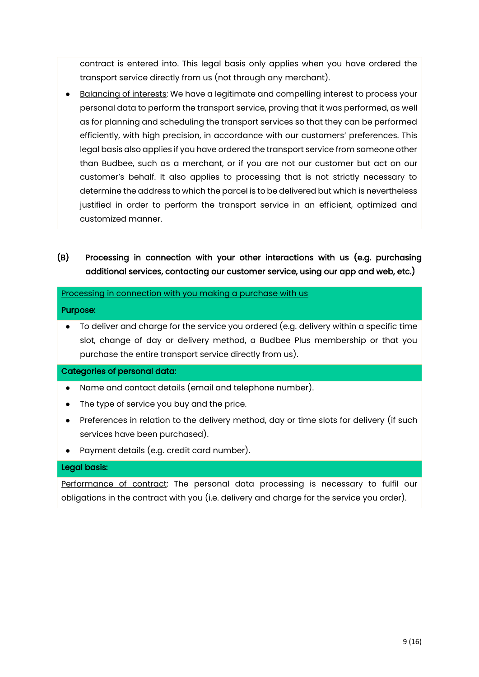contract is entered into. This legal basis only applies when you have ordered the transport service directly from us (not through any merchant).

- Balancing of interests: We have a legitimate and compelling interest to process your personal data to perform the transport service, proving that it was performed, as well as for planning and scheduling the transport services so that they can be performed efficiently, with high precision, in accordance with our customers' preferences. This legal basis also applies if you have ordered the transport service from someone other than Budbee, such as a merchant, or if you are not our customer but act on our customer's behalf. It also applies to processing that is not strictly necessary to determine the address to which the parcel is to be delivered but which is nevertheless justified in order to perform the transport service in an efficient, optimized and customized manner.
- (B) Processing in connection with your other interactions with us (e.g. purchasing additional services, contacting our customer service, using our app and web, etc.)

#### Processing in connection with you making a purchase with us

#### Purpose:

 $\bullet$  To deliver and charge for the service you ordered (e.g. delivery within a specific time slot, change of day or delivery method, a Budbee Plus membership or that you purchase the entire transport service directly from us).

## Categories of personal data:

- Name and contact details (email and telephone number).
- The type of service you buy and the price.
- Preferences in relation to the delivery method, day or time slots for delivery (if such services have been purchased).
- Payment details (e.g. credit card number).

## Legal basis:

Performance of contract: The personal data processing is necessary to fulfil our obligations in the contract with you (i.e. delivery and charge for the service you order).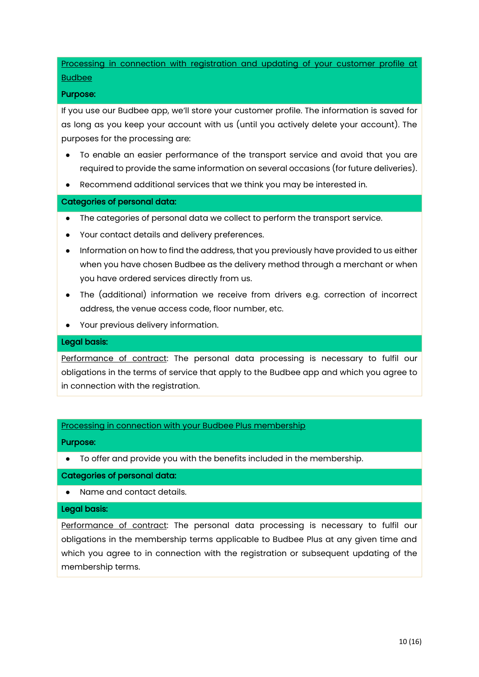Processing in connection with registration and updating of your customer profile at Budbee

#### Purpose:

If you use our Budbee app, we'll store your customer profile. The information is saved for as long as you keep your account with us (until you actively delete your account). The purposes for the processing are:

- To enable an easier performance of the transport service and avoid that you are required to provide the same information on several occasions (for future deliveries).
- Recommend additional services that we think you may be interested in.

## Categories of personal data:

- The categories of personal data we collect to perform the transport service.
- Your contact details and delivery preferences.
- Information on how to find the address, that you previously have provided to us either when you have chosen Budbee as the delivery method through a merchant or when you have ordered services directly from us.
- The (additional) information we receive from drivers e.g. correction of incorrect address, the venue access code, floor number, etc.
- Your previous delivery information.

## Legal basis:

Performance of contract: The personal data processing is necessary to fulfil our obligations in the terms of service that apply to the Budbee app and which you agree to in connection with the registration.

## Processing in connection with your Budbee Plus membership

## Purpose:

To offer and provide you with the benefits included in the membership.

## Categories of personal data:

● Name and contact details.

#### Legal basis:

Performance of contract: The personal data processing is necessary to fulfil our obligations in the membership terms applicable to Budbee Plus at any given time and which you agree to in connection with the registration or subsequent updating of the membership terms.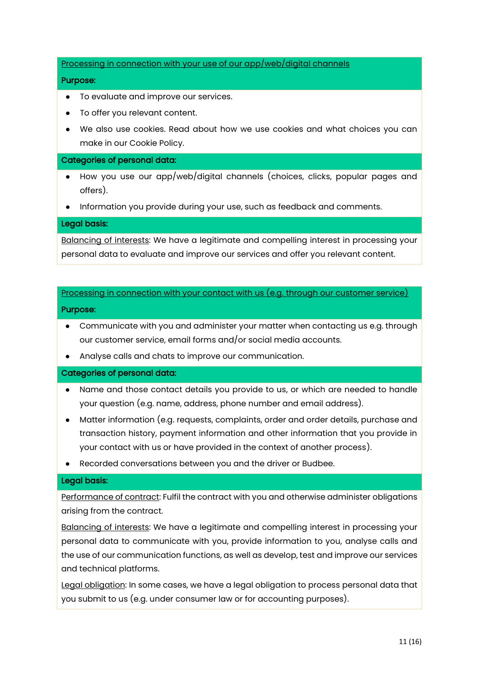Processing in connection with your use of our app/web/digital channels

## Purpose:

- To evaluate and improve our services.
- To offer you relevant content.
- We also use cookies. Read about how we use cookies and what choices you can make in our Cookie Policy.

#### Categories of personal data:

- How you use our app/web/digital channels (choices, clicks, popular pages and offers).
- Information you provide during your use, such as feedback and comments.

#### Legal basis:

Balancing of interests: We have a legitimate and compelling interest in processing your personal data to evaluate and improve our services and offer you relevant content.

## Processing in connection with your contact with us (e.g. through our customer service)

#### Purpose:

- Communicate with you and administer your matter when contacting us e.g. through our customer service, email forms and/or social media accounts.
- Analyse calls and chats to improve our communication.

## Categories of personal data:

- Name and those contact details you provide to us, or which are needed to handle your question (e.g. name, address, phone number and email address).
- Matter information (e.g. requests, complaints, order and order details, purchase and transaction history, payment information and other information that you provide in your contact with us or have provided in the context of another process).
- Recorded conversations between you and the driver or Budbee.

## Legal basis:

Performance of contract: Fulfil the contract with you and otherwise administer obligations arising from the contract.

Balancing of interests: We have a legitimate and compelling interest in processing your personal data to communicate with you, provide information to you, analyse calls and the use of our communication functions, as well as develop, test and improve our services and technical platforms.

Legal obligation: In some cases, we have a legal obligation to process personal data that you submit to us (e.g. under consumer law or for accounting purposes).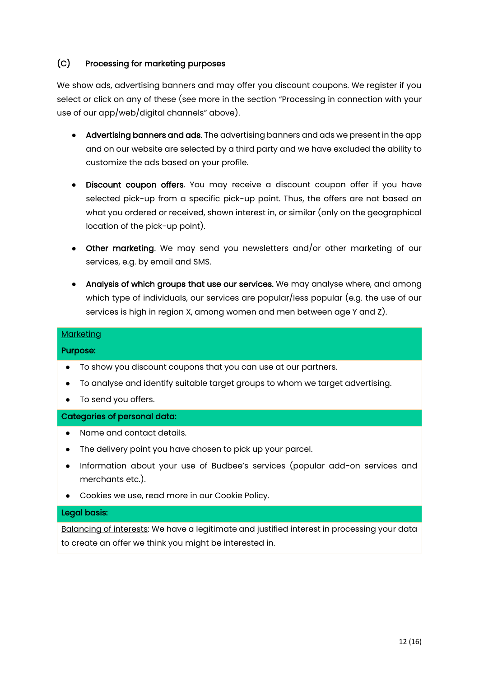# (C) Processing for marketing purposes

We show ads, advertising banners and may offer you discount coupons. We register if you select or click on any of these (see more in the section "Processing in connection with your use of our app/web/digital channels" above).

- Advertising banners and ads. The advertising banners and ads we present in the app and on our website are selected by a third party and we have excluded the ability to customize the ads based on your profile.
- Discount coupon offers. You may receive a discount coupon offer if you have selected pick-up from a specific pick-up point. Thus, the offers are not based on what you ordered or received, shown interest in, or similar (only on the geographical location of the pick-up point).
- Other marketing. We may send you newsletters and/or other marketing of our services, e.g. by email and SMS.
- Analysis of which groups that use our services. We may analyse where, and among which type of individuals, our services are popular/less popular (e.g. the use of our services is high in region X, among women and men between age Y and Z).

## **Marketing**

## Purpose:

- To show you discount coupons that you can use at our partners.
- To analyse and identify suitable target groups to whom we target advertising.
- To send you offers.

## Categories of personal data:

- Name and contact details.
- The delivery point you have chosen to pick up your parcel.
- Information about your use of Budbee's services (popular add-on services and merchants etc.).
- Cookies we use, read more in our Cookie Policy.

## Legal basis:

Balancing of interests: We have a legitimate and justified interest in processing your data to create an offer we think you might be interested in.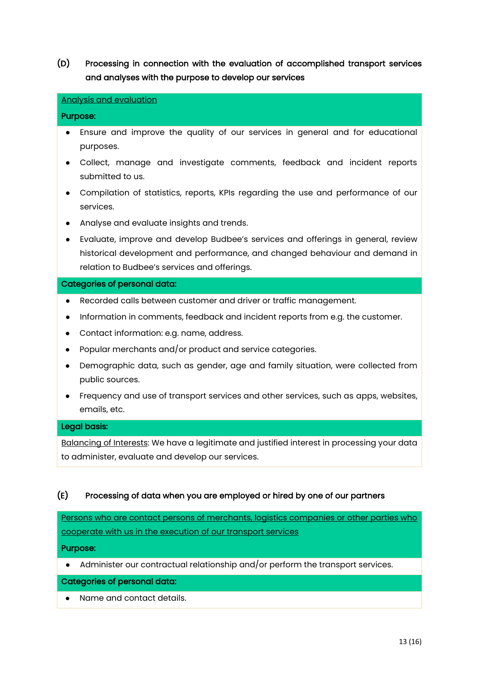# (D) Processing in connection with the evaluation of accomplished transport services and analyses with the purpose to develop our services

#### Analysis and evaluation

#### Purpose:

- Ensure and improve the quality of our services in general and for educational purposes.
- Collect, manage and investigate comments, feedback and incident reports submitted to us.
- Compilation of statistics, reports, KPIs regarding the use and performance of our services.
- Analyse and evaluate insights and trends.
- Evaluate, improve and develop Budbee's services and offerings in general, review historical development and performance, and changed behaviour and demand in relation to Budbee's services and offerings.

#### Categories of personal data:

- Recorded calls between customer and driver or traffic management.
- Information in comments, feedback and incident reports from e.g. the customer.
- Contact information: e.g. name, address.
- Popular merchants and/or product and service categories.
- Demographic data, such as gender, age and family situation, were collected from public sources.
- Frequency and use of transport services and other services, such as apps, websites, emails, etc.

#### Legal basis:

Balancing of Interests: We have a legitimate and justified interest in processing your data to administer, evaluate and develop our services.

## (E) Processing of data when you are employed or hired by one of our partners

Persons who are contact persons of merchants, logistics companies or other parties who cooperate with us in the execution of our transport services

#### Purpose:

● Administer our contractual relationship and/or perform the transport services.

## Categories of personal data:

● Name and contact details.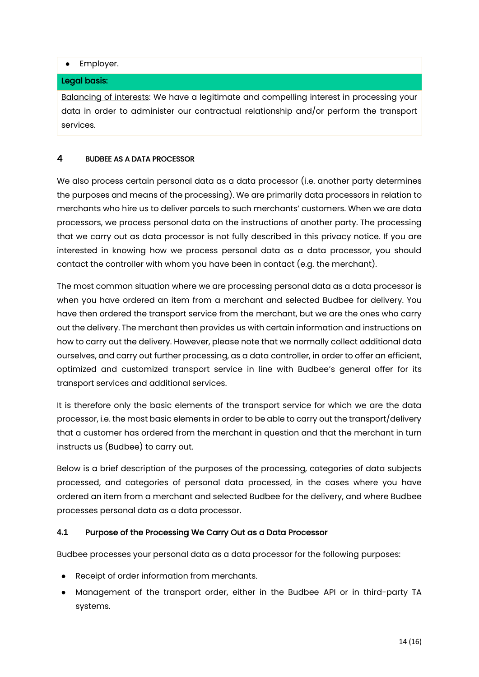## ● Employer.

## Legal basis:

Balancing of interests: We have a legitimate and compelling interest in processing your data in order to administer our contractual relationship and/or perform the transport services.

# 4 BUDBEE AS A DATA PROCESSOR

We also process certain personal data as a data processor (i.e. another party determines the purposes and means of the processing). We are primarily data processors in relation to merchants who hire us to deliver parcels to such merchants' customers. When we are data processors, we process personal data on the instructions of another party. The processing that we carry out as data processor is not fully described in this privacy notice. If you are interested in knowing how we process personal data as a data processor, you should contact the controller with whom you have been in contact (e.g. the merchant).

The most common situation where we are processing personal data as a data processor is when you have ordered an item from a merchant and selected Budbee for delivery. You have then ordered the transport service from the merchant, but we are the ones who carry out the delivery. The merchant then provides us with certain information and instructions on how to carry out the delivery. However, please note that we normally collect additional data ourselves, and carry out further processing, as a data controller, in order to offer an efficient, optimized and customized transport service in line with Budbee's general offer for its transport services and additional services.

It is therefore only the basic elements of the transport service for which we are the data processor, i.e. the most basic elements in order to be able to carry out the transport/delivery that a customer has ordered from the merchant in question and that the merchant in turn instructs us (Budbee) to carry out.

Below is a brief description of the purposes of the processing, categories of data subjects processed, and categories of personal data processed, in the cases where you have ordered an item from a merchant and selected Budbee for the delivery, and where Budbee processes personal data as a data processor.

# **4.1** Purpose of the Processing We Carry Out as a Data Processor

Budbee processes your personal data as a data processor for the following purposes:

- Receipt of order information from merchants.
- Management of the transport order, either in the Budbee API or in third-party TA systems.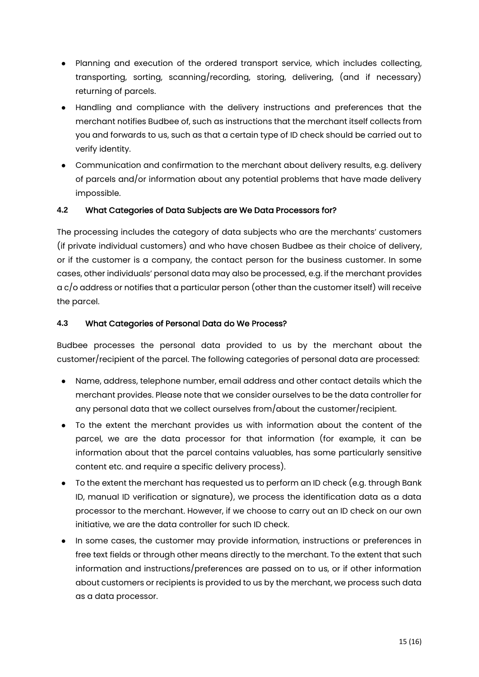- Planning and execution of the ordered transport service, which includes collecting, transporting, sorting, scanning/recording, storing, delivering, (and if necessary) returning of parcels.
- Handling and compliance with the delivery instructions and preferences that the merchant notifies Budbee of, such as instructions that the merchant itself collects from you and forwards to us, such as that a certain type of ID check should be carried out to verify identity.
- Communication and confirmation to the merchant about delivery results, e.g. delivery of parcels and/or information about any potential problems that have made delivery impossible.

# **4.2** What Categories of Data Subjects are We Data Processors for?

The processing includes the category of data subjects who are the merchants' customers (if private individual customers) and who have chosen Budbee as their choice of delivery, or if the customer is a company, the contact person for the business customer. In some cases, other individuals' personal data may also be processed, e.g. if the merchant provides a c/o address or notifies that a particular person (other than the customer itself) will receive the parcel.

# **4.3** What Categories of Personal Data do We Process?

Budbee processes the personal data provided to us by the merchant about the customer/recipient of the parcel. The following categories of personal data are processed:

- Name, address, telephone number, email address and other contact details which the merchant provides. Please note that we consider ourselves to be the data controller for any personal data that we collect ourselves from/about the customer/recipient.
- To the extent the merchant provides us with information about the content of the parcel, we are the data processor for that information (for example, it can be information about that the parcel contains valuables, has some particularly sensitive content etc. and require a specific delivery process).
- To the extent the merchant has requested us to perform an ID check (e.g. through Bank ID, manual ID verification or signature), we process the identification data as a data processor to the merchant. However, if we choose to carry out an ID check on our own initiative, we are the data controller for such ID check.
- In some cases, the customer may provide information, instructions or preferences in free text fields or through other means directly to the merchant. To the extent that such information and instructions/preferences are passed on to us, or if other information about customers or recipients is provided to us by the merchant, we process such data as a data processor.